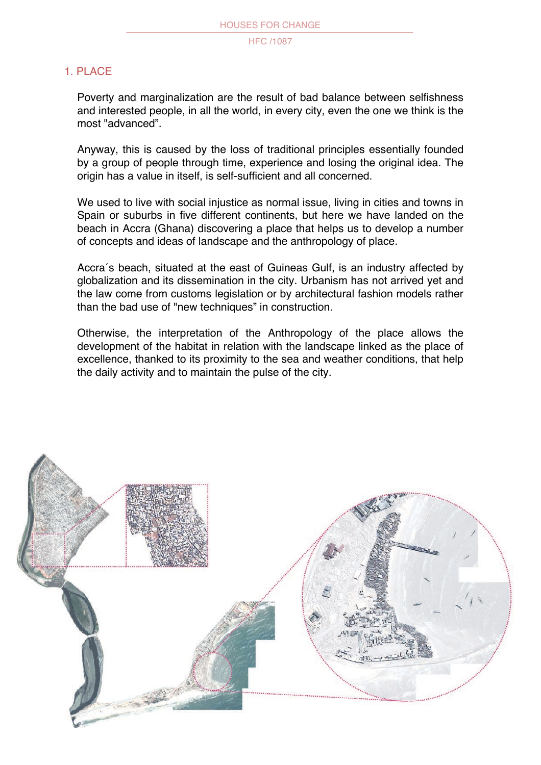# 1. PLACE

Poverty and marginalization are the result of bad balance between selfishness and interested people, in all the world, in every city, even the one we think is the most "advanced".

Anyway, this is caused by the loss of traditional principles essentially founded by a group of people through time, experience and losing the original idea. The origin has a value in itself, is self-sufficient and all concerned.

We used to live with social injustice as normal issue, living in cities and towns in Spain or suburbs in five different continents, but here we have landed on the beach in Accra (Ghana) discovering a place that helps us to develop a number of concepts and ideas of landscape and the anthropology of place.

Accra´s beach, situated at the east of Guineas Gulf, is an industry affected by globalization and its dissemination in the city. Urbanism has not arrived yet and the law come from customs legislation or by architectural fashion models rather than the bad use of "new techniques" in construction.

Otherwise, the interpretation of the Anthropology of the place allows the development of the habitat in relation with the landscape linked as the place of excellence, thanked to its proximity to the sea and weather conditions, that help the daily activity and to maintain the pulse of the city.

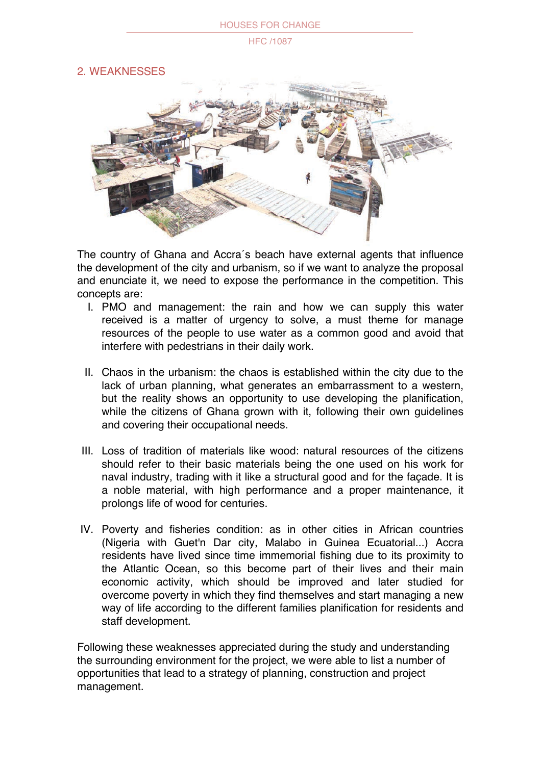#### HOUSES FOR CHANGE

#### HFC /1087

2. WEAKNESSES



The country of Ghana and Accra´s beach have external agents that influence the development of the city and urbanism, so if we want to analyze the proposal and enunciate it, we need to expose the performance in the competition. This concepts are:

- I. PMO and management: the rain and how we can supply this water received is a matter of urgency to solve, a must theme for manage resources of the people to use water as a common good and avoid that interfere with pedestrians in their daily work.
- II. Chaos in the urbanism: the chaos is established within the city due to the lack of urban planning, what generates an embarrassment to a western, but the reality shows an opportunity to use developing the planification, while the citizens of Ghana grown with it, following their own guidelines and covering their occupational needs.
- III. Loss of tradition of materials like wood: natural resources of the citizens should refer to their basic materials being the one used on his work for naval industry, trading with it like a structural good and for the façade. It is a noble material, with high performance and a proper maintenance, it prolongs life of wood for centuries.
- IV. Poverty and fisheries condition: as in other cities in African countries (Nigeria with Guet'n Dar city, Malabo in Guinea Ecuatorial...) Accra residents have lived since time immemorial fishing due to its proximity to the Atlantic Ocean, so this become part of their lives and their main economic activity, which should be improved and later studied for overcome poverty in which they find themselves and start managing a new way of life according to the different families planification for residents and staff development.

Following these weaknesses appreciated during the study and understanding the surrounding environment for the project, we were able to list a number of opportunities that lead to a strategy of planning, construction and project management.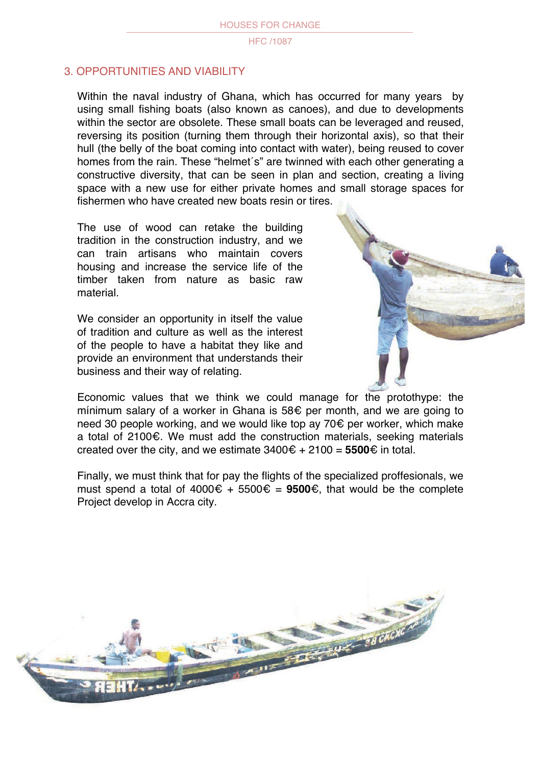# 3. OPPORTUNITIES AND VIABILITY

Within the naval industry of Ghana, which has occurred for many years by using small fishing boats (also known as canoes), and due to developments within the sector are obsolete. These small boats can be leveraged and reused, reversing its position (turning them through their horizontal axis), so that their hull (the belly of the boat coming into contact with water), being reused to cover homes from the rain. These "helmet´s" are twinned with each other generating a constructive diversity, that can be seen in plan and section, creating a living space with a new use for either private homes and small storage spaces for fishermen who have created new boats resin or tires.

The use of wood can retake the building tradition in the construction industry, and we can train artisans who maintain covers housing and increase the service life of the timber taken from nature as basic raw material.

We consider an opportunity in itself the value of tradition and culture as well as the interest of the people to have a habitat they like and provide an environment that understands their business and their way of relating.



Economic values that we think we could manage for the protothype: the mínimum salary of a worker in Ghana is 58 $\epsilon$  per month, and we are going to need 30 people working, and we would like top ay 70 $\epsilon$  per worker, which make a total of 2100 $\epsilon$ . We must add the construction materials, seeking materials created over the city, and we estimate  $3400 \epsilon + 2100 = 5500 \epsilon$  in total.

Finally, we must think that for pay the flights of the specialized proffesionals, we must spend a total of  $4000 \epsilon + 5500 \epsilon = 9500 \epsilon$ , that would be the complete Project develop in Accra city.

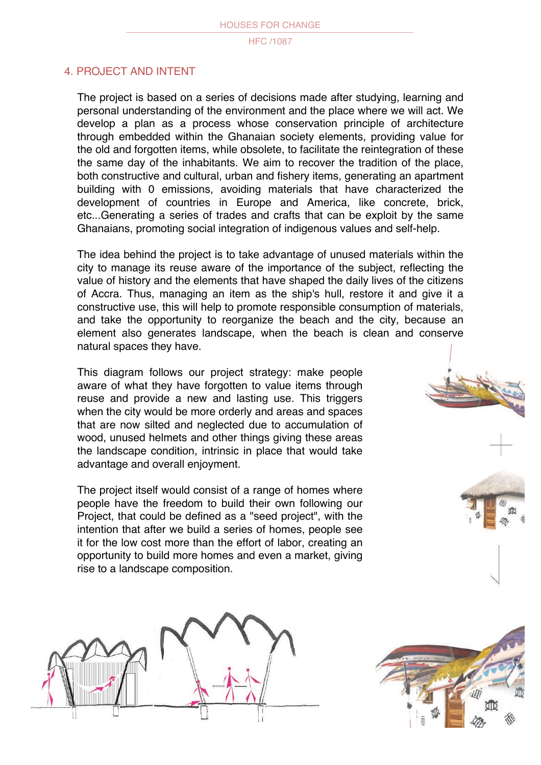# 4. PROJECT AND INTENT

The project is based on a series of decisions made after studying, learning and personal understanding of the environment and the place where we will act. We develop a plan as a process whose conservation principle of architecture through embedded within the Ghanaian society elements, providing value for the old and forgotten items, while obsolete, to facilitate the reintegration of these the same day of the inhabitants. We aim to recover the tradition of the place, both constructive and cultural, urban and fishery items, generating an apartment building with 0 emissions, avoiding materials that have characterized the development of countries in Europe and America, like concrete, brick, etc...Generating a series of trades and crafts that can be exploit by the same Ghanaians, promoting social integration of indigenous values and self-help.

The idea behind the project is to take advantage of unused materials within the city to manage its reuse aware of the importance of the subject, reflecting the value of history and the elements that have shaped the daily lives of the citizens of Accra. Thus, managing an item as the ship's hull, restore it and give it a constructive use, this will help to promote responsible consumption of materials, and take the opportunity to reorganize the beach and the city, because an element also generates landscape, when the beach is clean and conserve natural spaces they have.

This diagram follows our project strategy: make people aware of what they have forgotten to value items through reuse and provide a new and lasting use. This triggers when the city would be more orderly and areas and spaces that are now silted and neglected due to accumulation of wood, unused helmets and other things giving these areas the landscape condition, intrinsic in place that would take advantage and overall enjoyment.

The project itself would consist of a range of homes where people have the freedom to build their own following our Project, that could be defined as a "seed project", with the intention that after we build a series of homes, people see it for the low cost more than the effort of labor, creating an opportunity to build more homes and even a market, giving rise to a landscape composition.